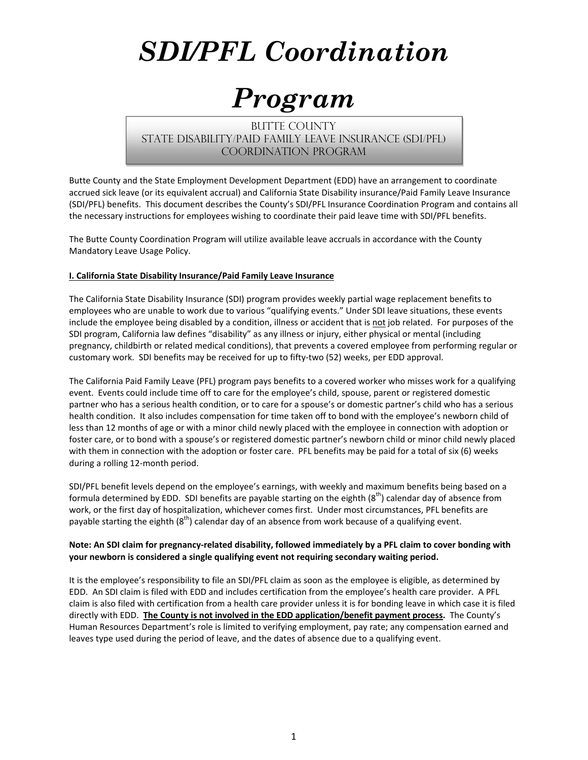# *SDI/PFL Coordination*

## *Program*

**BUTTE COUNTY** State disability/paid family leave insurance (SDI/PFL) Coordination Program

Butte County and the State Employment Development Department (EDD) have an arrangement to coordinate accrued sick leave (or its equivalent accrual) and California State Disability insurance/Paid Family Leave Insurance (SDI/PFL) benefits. This document describes the County's SDI/PFL Insurance Coordination Program and contains all the necessary instructions for employees wishing to coordinate their paid leave time with SDI/PFL benefits.

The Butte County Coordination Program will utilize available leave accruals in accordance with the County Mandatory Leave Usage Policy.

#### **I. California State Disability Insurance/Paid Family Leave Insurance**

The California State Disability Insurance (SDI) program provides weekly partial wage replacement benefits to employees who are unable to work due to various "qualifying events." Under SDI leave situations, these events include the employee being disabled by a condition, illness or accident that is not job related. For purposes of the SDI program, California law defines "disability" as any illness or injury, either physical or mental (including pregnancy, childbirth or related medical conditions), that prevents a covered employee from performing regular or customary work. SDI benefits may be received for up to fifty‐two (52) weeks, per EDD approval.

The California Paid Family Leave (PFL) program pays benefits to a covered worker who misses work for a qualifying event. Events could include time off to care for the employee's child, spouse, parent or registered domestic partner who has a serious health condition, or to care for a spouse's or domestic partner's child who has a serious health condition. It also includes compensation for time taken off to bond with the employee's newborn child of less than 12 months of age or with a minor child newly placed with the employee in connection with adoption or foster care, or to bond with a spouse's or registered domestic partner's newborn child or minor child newly placed with them in connection with the adoption or foster care. PFL benefits may be paid for a total of six (6) weeks during a rolling 12‐month period.

SDI/PFL benefit levels depend on the employee's earnings, with weekly and maximum benefits being based on a formula determined by EDD. SDI benefits are payable starting on the eighth  $(8<sup>th</sup>)$  calendar day of absence from work, or the first day of hospitalization, whichever comes first. Under most circumstances, PFL benefits are payable starting the eighth  $(8<sup>th</sup>)$  calendar day of an absence from work because of a qualifying event.

#### Note: An SDI claim for pregnancy-related disability, followed immediately by a PFL claim to cover bonding with **your newborn is considered a single qualifying event not requiring secondary waiting period.**

It is the employee's responsibility to file an SDI/PFL claim as soon as the employee is eligible, as determined by EDD. An SDI claim is filed with EDD and includes certification from the employee's health care provider. A PFL claim is also filed with certification from a health care provider unless it is for bonding leave in which case it is filed directly with EDD. **The County is not involved in the EDD application/benefit payment process.** The County's Human Resources Department's role is limited to verifying employment, pay rate; any compensation earned and leaves type used during the period of leave, and the dates of absence due to a qualifying event.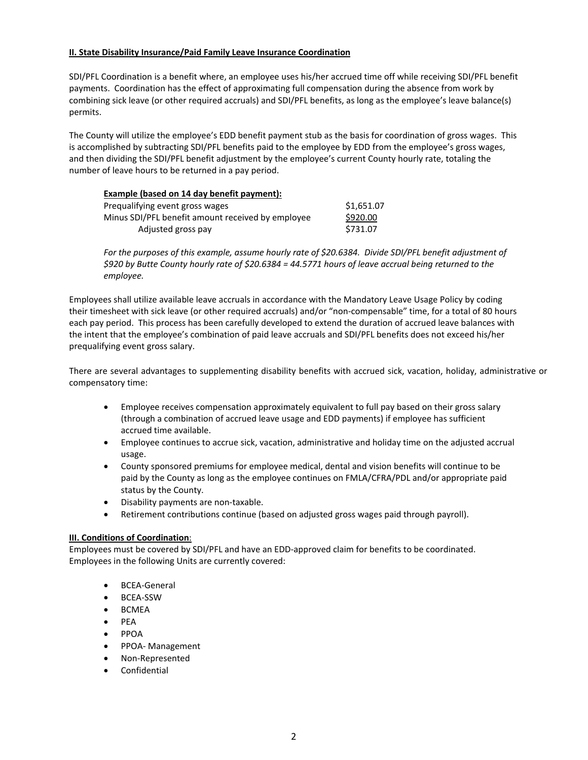#### **II. State Disability Insurance/Paid Family Leave Insurance Coordination**

SDI/PFL Coordination is a benefit where, an employee uses his/her accrued time off while receiving SDI/PFL benefit payments. Coordination has the effect of approximating full compensation during the absence from work by combining sick leave (or other required accruals) and SDI/PFL benefits, as long as the employee's leave balance(s) permits.

The County will utilize the employee's EDD benefit payment stub as the basis for coordination of gross wages. This is accomplished by subtracting SDI/PFL benefits paid to the employee by EDD from the employee's gross wages, and then dividing the SDI/PFL benefit adjustment by the employee's current County hourly rate, totaling the number of leave hours to be returned in a pay period.

#### **Example (based on 14 day benefit payment):**

| Prequalifying event gross wages                   | \$1,651.07 |
|---------------------------------------------------|------------|
| Minus SDI/PFL benefit amount received by employee | \$920.00   |
| Adjusted gross pay                                | \$731.07   |

*For the purposes of this example, assume hourly rate of \$20.6384. Divide SDI/PFL benefit adjustment of* \$920 by Butte County hourly rate of \$20.6384 = 44.5771 hours of leave accrual being returned to the *employee.*

Employees shall utilize available leave accruals in accordance with the Mandatory Leave Usage Policy by coding their timesheet with sick leave (or other required accruals) and/or "non‐compensable" time, for a total of 80 hours each pay period. This process has been carefully developed to extend the duration of accrued leave balances with the intent that the employee's combination of paid leave accruals and SDI/PFL benefits does not exceed his/her prequalifying event gross salary.

There are several advantages to supplementing disability benefits with accrued sick, vacation, holiday, administrative or compensatory time:

- Employee receives compensation approximately equivalent to full pay based on their gross salary (through a combination of accrued leave usage and EDD payments) if employee has sufficient accrued time available.
- Employee continues to accrue sick, vacation, administrative and holiday time on the adjusted accrual usage.
- County sponsored premiums for employee medical, dental and vision benefits will continue to be paid by the County as long as the employee continues on FMLA/CFRA/PDL and/or appropriate paid status by the County.
- Disability payments are non-taxable.
- Retirement contributions continue (based on adjusted gross wages paid through payroll).

#### **III. Conditions of Coordination**:

Employees must be covered by SDI/PFL and have an EDD‐approved claim for benefits to be coordinated. Employees in the following Units are currently covered:

- BCEA-General
- BCEA-SSW
- BCMEA
- $\bullet$  PFA
- $\bullet$  PPOA
- PPOA- Management
- Non‐Represented
- Confidential